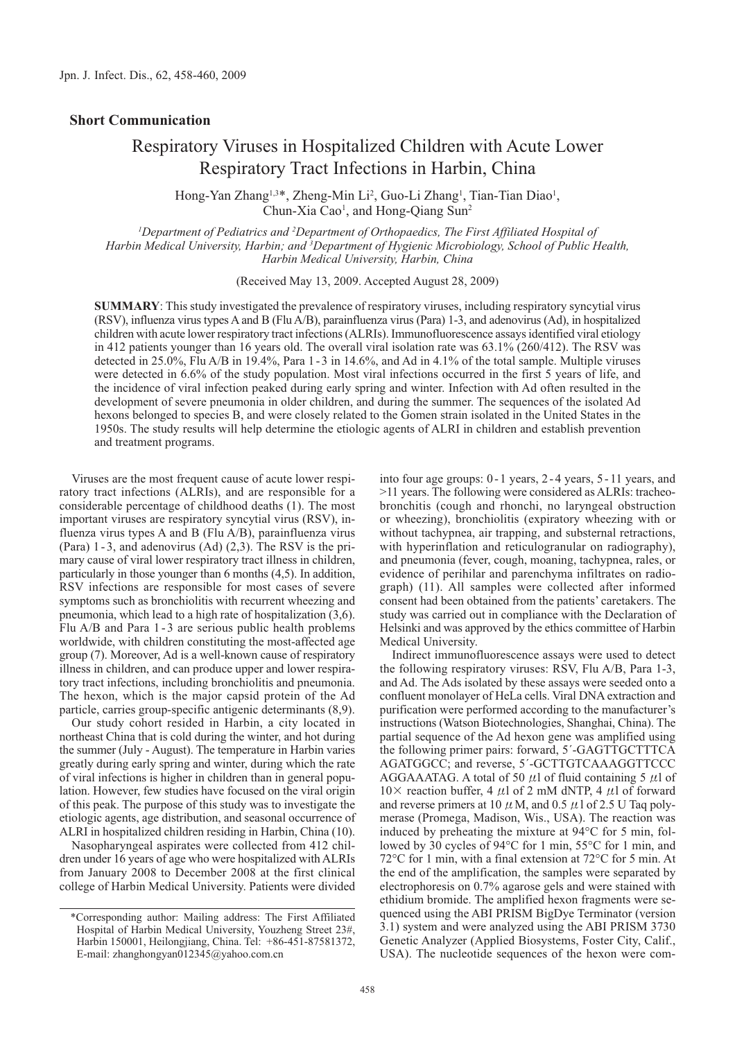## **Short Communication**

## Respiratory Viruses in Hospitalized Children with Acute Lower Respiratory Tract Infections in Harbin, China

Hong-Yan Zhang<sup>1,3\*</sup>, Zheng-Min Li<sup>2</sup>, Guo-Li Zhang<sup>1</sup>, Tian-Tian Diao<sup>1</sup>, Chun-Xia Cao<sup>1</sup>, and Hong-Qiang Sun<sup>2</sup>

*1 Department of Pediatrics and 2 Department of Orthopaedics, The First Affiliated Hospital of Harbin Medical University, Harbin; and 3 Department of Hygienic Microbiology, School of Public Health, Harbin Medical University, Harbin, China*

(Received May 13, 2009. Accepted August 28, 2009)

**SUMMARY**: This study investigated the prevalence of respiratory viruses, including respiratory syncytial virus (RSV), influenza virus types A and B (Flu A/B), parainfluenza virus (Para) 1-3, and adenovirus (Ad), in hospitalized children with acute lower respiratory tract infections (ALRIs). Immunofluorescence assays identified viral etiology in 412 patients younger than 16 years old. The overall viral isolation rate was 63.1% (260/412). The RSV was detected in 25.0%, Flu A/B in 19.4%, Para 1-3 in 14.6%, and Ad in 4.1% of the total sample. Multiple viruses were detected in 6.6% of the study population. Most viral infections occurred in the first 5 years of life, and the incidence of viral infection peaked during early spring and winter. Infection with Ad often resulted in the development of severe pneumonia in older children, and during the summer. The sequences of the isolated Ad hexons belonged to species B, and were closely related to the Gomen strain isolated in the United States in the 1950s. The study results will help determine the etiologic agents of ALRI in children and establish prevention and treatment programs.

Viruses are the most frequent cause of acute lower respiratory tract infections (ALRIs), and are responsible for a considerable percentage of childhood deaths (1). The most important viruses are respiratory syncytial virus (RSV), influenza virus types A and B (Flu A/B), parainfluenza virus (Para) 1-3, and adenovirus (Ad) (2,3). The RSV is the primary cause of viral lower respiratory tract illness in children, particularly in those younger than 6 months (4,5). In addition, RSV infections are responsible for most cases of severe symptoms such as bronchiolitis with recurrent wheezing and pneumonia, which lead to a high rate of hospitalization (3,6). Flu A/B and Para 1-3 are serious public health problems worldwide, with children constituting the most-affected age group (7). Moreover, Ad is a well-known cause of respiratory illness in children, and can produce upper and lower respiratory tract infections, including bronchiolitis and pneumonia. The hexon, which is the major capsid protein of the Ad particle, carries group-specific antigenic determinants (8,9).

Our study cohort resided in Harbin, a city located in northeast China that is cold during the winter, and hot during the summer (July - August). The temperature in Harbin varies greatly during early spring and winter, during which the rate of viral infections is higher in children than in general population. However, few studies have focused on the viral origin of this peak. The purpose of this study was to investigate the etiologic agents, age distribution, and seasonal occurrence of ALRI in hospitalized children residing in Harbin, China (10).

Nasopharyngeal aspirates were collected from 412 children under 16 years of age who were hospitalized with ALRIs from January 2008 to December 2008 at the first clinical college of Harbin Medical University. Patients were divided

into four age groups: 0-1 years, 2- 4 years, 5-11 years, and >11 years. The following were considered as ALRIs: tracheobronchitis (cough and rhonchi, no laryngeal obstruction or wheezing), bronchiolitis (expiratory wheezing with or without tachypnea, air trapping, and substernal retractions, with hyperinflation and reticulogranular on radiography), and pneumonia (fever, cough, moaning, tachypnea, rales, or evidence of perihilar and parenchyma infiltrates on radiograph) (11). All samples were collected after informed consent had been obtained from the patients' caretakers. The study was carried out in compliance with the Declaration of Helsinki and was approved by the ethics committee of Harbin Medical University.

Indirect immunofluorescence assays were used to detect the following respiratory viruses: RSV, Flu A/B, Para 1-3, and Ad. The Ads isolated by these assays were seeded onto a confluent monolayer of HeLa cells. Viral DNA extraction and purification were performed according to the manufacturer's instructions (Watson Biotechnologies, Shanghai, China). The partial sequence of the Ad hexon gene was amplified using the following primer pairs: forward, 5´-GAGTTGCTTTCA AGATGGCC; and reverse, 5´-GCTTGTCAAAGGTTCCC AGGAAATAG. A total of 50  $\mu$ l of fluid containing 5  $\mu$ l of  $10\times$  reaction buffer, 4  $\mu$ l of 2 mM dNTP, 4  $\mu$ l of forward and reverse primers at 10  $\mu$  M, and 0.5  $\mu$ 1 of 2.5 U Taq polymerase (Promega, Madison, Wis., USA). The reaction was induced by preheating the mixture at 94°C for 5 min, followed by 30 cycles of 94°C for 1 min, 55°C for 1 min, and 72°C for 1 min, with a final extension at 72°C for 5 min. At the end of the amplification, the samples were separated by electrophoresis on 0.7% agarose gels and were stained with ethidium bromide. The amplified hexon fragments were sequenced using the ABI PRISM BigDye Terminator (version 3.1) system and were analyzed using the ABI PRISM 3730 Genetic Analyzer (Applied Biosystems, Foster City, Calif., USA). The nucleotide sequences of the hexon were com-

<sup>\*</sup>Corresponding author: Mailing address: The First Affiliated Hospital of Harbin Medical University, Youzheng Street 23#, Harbin 150001, Heilongjiang, China. Tel: +86-451-87581372, E-mail: zhanghongyan012345@yahoo.com.cn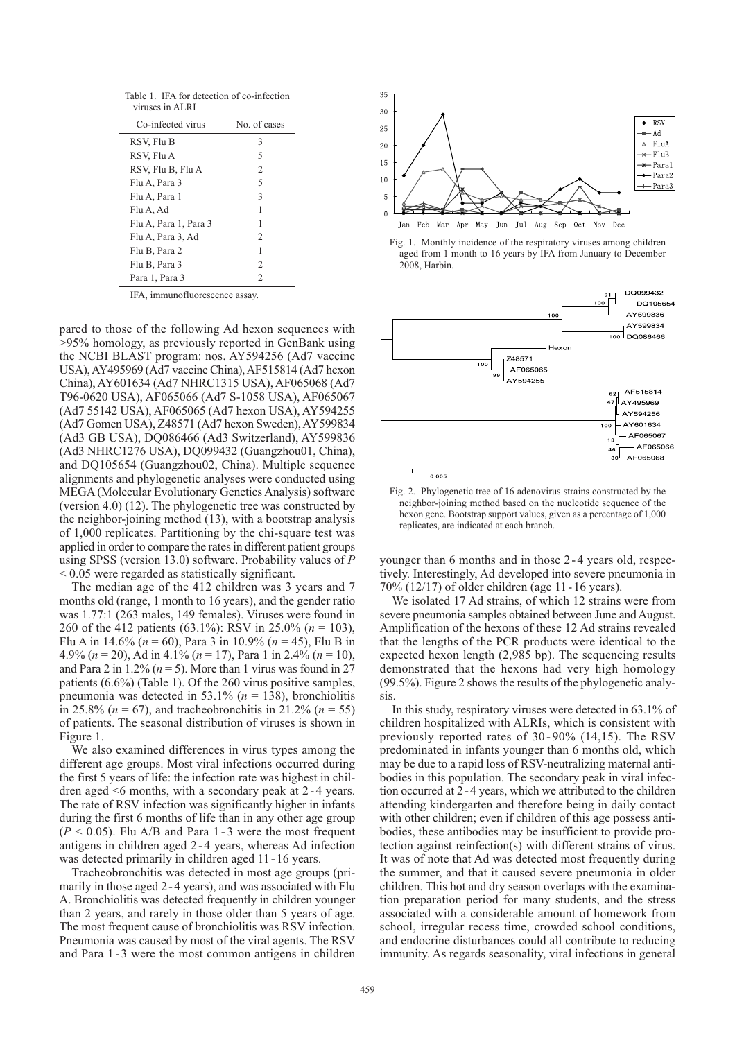Table 1. IFA for detection of co-infection viruses in ALRI

| Co-infected virus     | No. of cases   |
|-----------------------|----------------|
| RSV, Flu B            | 3              |
| RSV, Flu A            | 5              |
| RSV, Flu B, Flu A     | $\overline{2}$ |
| Flu A, Para 3         | 5              |
| Flu A, Para 1         | 3              |
| Flu A, Ad             | 1              |
| Flu A, Para 1, Para 3 | 1              |
| Flu A, Para 3, Ad     | 2              |
| Flu B, Para 2         | 1              |
| Flu B, Para 3         | 2              |
| Para 1, Para 3        | 2              |
|                       |                |

IFA, immunofluorescence assay.

pared to those of the following Ad hexon sequences with >95% homology, as previously reported in GenBank using the NCBI BLAST program: nos. AY594256 (Ad7 vaccine USA), AY495969 (Ad7 vaccine China), AF515814 (Ad7 hexon China), AY601634 (Ad7 NHRC1315 USA), AF065068 (Ad7 T96-0620 USA), AF065066 (Ad7 S-1058 USA), AF065067 (Ad7 55142 USA), AF065065 (Ad7 hexon USA), AY594255 (Ad7 Gomen USA), Z48571 (Ad7 hexon Sweden), AY599834 (Ad3 GB USA), DQ086466 (Ad3 Switzerland), AY599836 (Ad3 NHRC1276 USA), DQ099432 (Guangzhou01, China), and DQ105654 (Guangzhou02, China). Multiple sequence alignments and phylogenetic analyses were conducted using MEGA (Molecular Evolutionary Genetics Analysis) software (version 4.0) (12). The phylogenetic tree was constructed by the neighbor-joining method (13), with a bootstrap analysis of 1,000 replicates. Partitioning by the chi-square test was applied in order to compare the rates in different patient groups using SPSS (version 13.0) software. Probability values of *P* < 0.05 were regarded as statistically significant.

The median age of the 412 children was 3 years and 7 months old (range, 1 month to 16 years), and the gender ratio was 1.77:1 (263 males, 149 females). Viruses were found in 260 of the 412 patients (63.1%): RSV in 25.0% (*n* = 103), Flu A in 14.6% (*n* = 60), Para 3 in 10.9% (*n* = 45), Flu B in 4.9% (*n* = 20), Ad in 4.1% (*n* = 17), Para 1 in 2.4% (*n* = 10), and Para 2 in  $1.2\%$  ( $n = 5$ ). More than 1 virus was found in 27 patients (6.6%) (Table 1). Of the 260 virus positive samples, pneumonia was detected in 53.1% (*n* = 138), bronchiolitis in 25.8% (*n* = 67), and tracheobronchitis in 21.2% (*n* = 55) of patients. The seasonal distribution of viruses is shown in Figure 1.

We also examined differences in virus types among the different age groups. Most viral infections occurred during the first 5 years of life: the infection rate was highest in children aged <6 months, with a secondary peak at 2-4 years. The rate of RSV infection was significantly higher in infants during the first 6 months of life than in any other age group  $(P < 0.05)$ . Flu A/B and Para 1 - 3 were the most frequent antigens in children aged 2 - 4 years, whereas Ad infection was detected primarily in children aged 11-16 years.

Tracheobronchitis was detected in most age groups (primarily in those aged 2-4 years), and was associated with Flu A. Bronchiolitis was detected frequently in children younger than 2 years, and rarely in those older than 5 years of age. The most frequent cause of bronchiolitis was RSV infection. Pneumonia was caused by most of the viral agents. The RSV and Para 1-3 were the most common antigens in children



Fig. 1. Monthly incidence of the respiratory viruses among children aged from 1 month to 16 years by IFA from January to December 2008, Harbin.



Fig. 2. Phylogenetic tree of 16 adenovirus strains constructed by the neighbor-joining method based on the nucleotide sequence of the hexon gene. Bootstrap support values, given as a percentage of 1,000 replicates, are indicated at each branch.

younger than 6 months and in those 2-4 years old, respectively. Interestingly, Ad developed into severe pneumonia in 70% (12/17) of older children (age 11-16 years).

We isolated 17 Ad strains, of which 12 strains were from severe pneumonia samples obtained between June and August. Amplification of the hexons of these 12 Ad strains revealed that the lengths of the PCR products were identical to the expected hexon length (2,985 bp). The sequencing results demonstrated that the hexons had very high homology (99.5%). Figure 2 shows the results of the phylogenetic analysis.

In this study, respiratory viruses were detected in 63.1% of children hospitalized with ALRIs, which is consistent with previously reported rates of 30 - 90% (14,15). The RSV predominated in infants younger than 6 months old, which may be due to a rapid loss of RSV-neutralizing maternal antibodies in this population. The secondary peak in viral infection occurred at 2-4 years, which we attributed to the children attending kindergarten and therefore being in daily contact with other children; even if children of this age possess antibodies, these antibodies may be insufficient to provide protection against reinfection(s) with different strains of virus. It was of note that Ad was detected most frequently during the summer, and that it caused severe pneumonia in older children. This hot and dry season overlaps with the examination preparation period for many students, and the stress associated with a considerable amount of homework from school, irregular recess time, crowded school conditions, and endocrine disturbances could all contribute to reducing immunity. As regards seasonality, viral infections in general